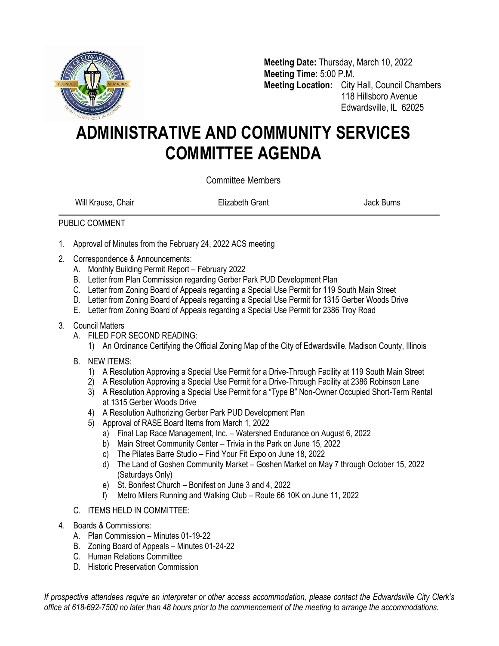

**Meeting Date:** Thursday, March 10, 2022 **Meeting Time:** 5:00 P.M. **Meeting Location:** City Hall, Council Chambers 118 Hillsboro Avenue Edwardsville, IL 62025

## **ADMINISTRATIVE AND COMMUNITY SERVICES COMMITTEE AGENDA**

Committee Members

Will Krause, Chair **Elizabeth Grant** Chair Burns Jack Burns

## PUBLIC COMMENT

- 1. Approval of Minutes from the February 24, 2022 ACS meeting
- 2. Correspondence & Announcements:
	- A. Monthly Building Permit Report February 2022
	- B. Letter from Plan Commission regarding Gerber Park PUD Development Plan
	- C. Letter from Zoning Board of Appeals regarding a Special Use Permit for 119 South Main Street
	- D. Letter from Zoning Board of Appeals regarding a Special Use Permit for 1315 Gerber Woods Drive
	- E. Letter from Zoning Board of Appeals regarding a Special Use Permit for 2386 Troy Road
- 3. Council Matters
	- A. FILED FOR SECOND READING:

1) An Ordinance Certifying the Official Zoning Map of the City of Edwardsville, Madison County, Illinois

- B. NEW ITEMS:
	- 1) A Resolution Approving a Special Use Permit for a Drive-Through Facility at 119 South Main Street
	- 2) A Resolution Approving a Special Use Permit for a Drive-Through Facility at 2386 Robinson Lane
	- 3) A Resolution Approving a Special Use Permit for a "Type B" Non-Owner Occupied Short-Term Rental at 1315 Gerber Woods Drive
	- 4) A Resolution Authorizing Gerber Park PUD Development Plan
	- 5) Approval of RASE Board Items from March 1, 2022
		- a) Final Lap Race Management, Inc. Watershed Endurance on August 6, 2022
		- b) Main Street Community Center Trivia in the Park on June 15, 2022
		- c) The Pilates Barre Studio Find Your Fit Expo on June 18, 2022
		- d) The Land of Goshen Community Market Goshen Market on May 7 through October 15, 2022 (Saturdays Only)
		- e) St. Bonifest Church Bonifest on June 3 and 4, 2022
		- f) Metro Milers Running and Walking Club Route 66 10K on June 11, 2022
- C. ITEMS HELD IN COMMITTEE:
- 4. Boards & Commissions:
	- A. Plan Commission Minutes 01-19-22
	- B. Zoning Board of Appeals Minutes 01-24-22
	- C. Human Relations Committee
	- D. Historic Preservation Commission

*If prospective attendees require an interpreter or other access accommodation, please contact the Edwardsville City Clerk's office at 618-692-7500 no later than 48 hours prior to the commencement of the meeting to arrange the accommodations.*